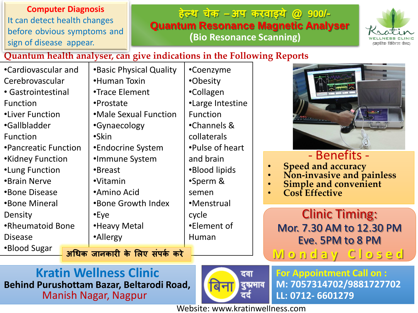**Computer Diagnosis** It can detect health changes before obvious symptoms and sign of disease appear.

#### **हेल्थ चेक – अप करवाइये @ 900/- Quantum Resonance Magnetic Analyser (Bio Resonance Scanning)**



#### **Quantum health analyser, can give indications in the Following Reports**

•Cardiovascular and Cerebrovascular • Gastrointestinal Function •Liver Function •Gallbladder Function •Pancreatic Function •Kidney Function •Lung Function •Brain Nerve •Bone Disease •Bone Mineral Density •Rheumatoid Bone Disease •Blood Sugar •Human Toxin •Trace Element •Prostate •Gynaecology •Skin •Endocrine System •Immune System •Breast •Vitamin •Amino Acid •Eye •Heavy Metal •Allergy

•Basic Physical Quality •Male Sexual Function •Bone Growth Index semen cycle Human

**अधिक जानकारी के लिए संपकक करे** 

•Coenzyme •Obesity •Collagen •Large Intestine Function •Channels & collaterals •Pulse of heart and brain •Blood lipids •Sperm & •Menstrual •Element of



### - Benefits -

- **Speed and accuracy**
- **Non-invasive and painless**
- **Simple and convenient**
- **Cost Effective**

Clinic Timing: Mor. 7.30 AM to 12.30 PM Eve. 5PM to 8 PM **M o n d a y C l o s e d**

**Kratin Wellness Clinic Behind Purushottam Bazar, Beltarodi Road,**  Manish Nagar, Nagpur



**For Appointment Call on : M: 7057314702/9881727702 LL: 0712- 6601279**

Website: www.kratinwellness.com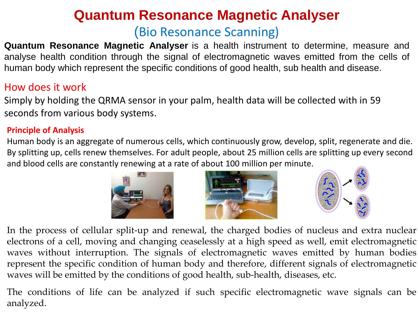## **Quantum Resonance Magnetic Analyser** (Bio Resonance Scanning)

**Quantum Resonance Magnetic Analyser** is a health instrument to determine, measure and analyse health condition through the signal of electromagnetic waves emitted from the cells of human body which represent the specific conditions of good health, sub health and disease.

#### How does it work

Simply by holding the QRMA sensor in your palm, health data will be collected with in 59 seconds from various body systems.

#### **Principle of Analysis**

Human body is an aggregate of numerous cells, which continuously grow, develop, split, regenerate and die. By splitting up, cells renew themselves. For adult people, about 25 million cells are splitting up every second and blood cells are constantly renewing at a rate of about 100 million per minute.







In the process of cellular split-up and renewal, the charged bodies of nucleus and extra nuclear electrons of a cell, moving and changing ceaselessly at a high speed as well, emit electromagnetic waves without interruption. The signals of electromagnetic waves emitted by human bodies represent the specific condition of human body and therefore, different signals of electromagnetic waves will be emitted by the conditions of good health, sub-health, diseases, etc.

The conditions of life can be analyzed if such specific electromagnetic wave signals can be analyzed.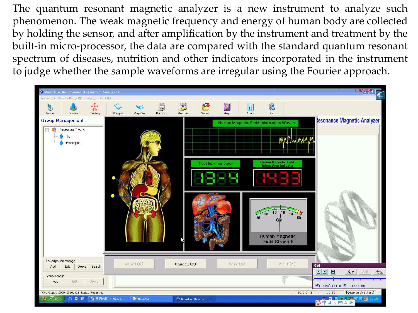The quantum resonant magnetic analyzer is a new instrument to analyze such phenomenon. The weak magnetic frequency and energy of human body are collected by holding the sensor, and after amplification by the instrument and treatment by the built-in micro-processor, the data are compared with the standard quantum resonant spectrum of diseases, nutrition and other indicators incorporated in the instrument to judge whether the sample waveforms are irregular using the Fourier approach.

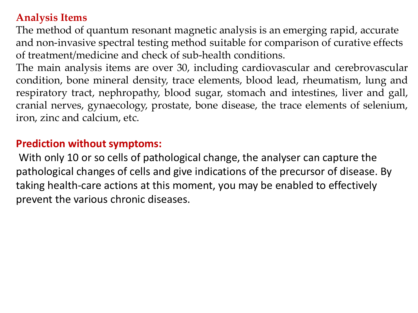#### **Analysis Items**

The method of quantum resonant magnetic analysis is an emerging rapid, accurate and non-invasive spectral testing method suitable for comparison of curative effects of treatment/medicine and check of sub-health conditions.

The main analysis items are over 30, including cardiovascular and cerebrovascular condition, bone mineral density, trace elements, blood lead, rheumatism, lung and respiratory tract, nephropathy, blood sugar, stomach and intestines, liver and gall, cranial nerves, gynaecology, prostate, bone disease, the trace elements of selenium, iron, zinc and calcium, etc.

#### **Prediction without symptoms:**

With only 10 or so cells of pathological change, the analyser can capture the pathological changes of cells and give indications of the precursor of disease. By taking health-care actions at this moment, you may be enabled to effectively prevent the various chronic diseases.